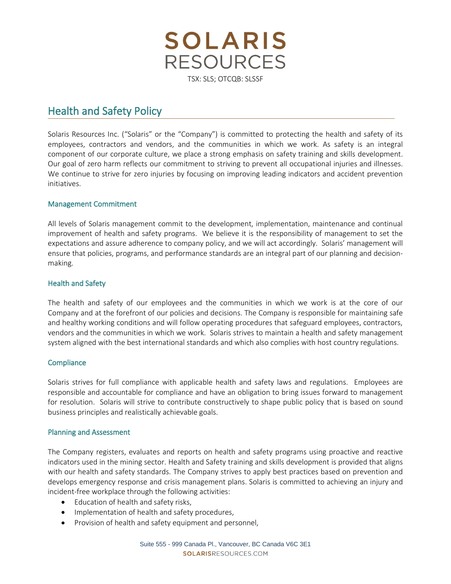

# Health and Safety Policy

Solaris Resources Inc. ("Solaris" or the "Company") is committed to protecting the health and safety of its employees, contractors and vendors, and the communities in which we work. As safety is an integral component of our corporate culture, we place a strong emphasis on safety training and skills development. Our goal of zero harm reflects our commitment to striving to prevent all occupational injuries and illnesses. We continue to strive for zero injuries by focusing on improving leading indicators and accident prevention initiatives.

# Management Commitment

All levels of Solaris management commit to the development, implementation, maintenance and continual improvement of health and safety programs. We believe it is the responsibility of management to set the expectations and assure adherence to company policy, and we will act accordingly. Solaris' management will ensure that policies, programs, and performance standards are an integral part of our planning and decisionmaking.

# Health and Safety

The health and safety of our employees and the communities in which we work is at the core of our Company and at the forefront of our policies and decisions. The Company is responsible for maintaining safe and healthy working conditions and will follow operating procedures that safeguard employees, contractors, vendors and the communities in which we work. Solaris strives to maintain a health and safety management system aligned with the best international standards and which also complies with host country regulations.

### **Compliance**

Solaris strives for full compliance with applicable health and safety laws and regulations. Employees are responsible and accountable for compliance and have an obligation to bring issues forward to management for resolution. Solaris will strive to contribute constructively to shape public policy that is based on sound business principles and realistically achievable goals.

### Planning and Assessment

The Company registers, evaluates and reports on health and safety programs using proactive and reactive indicators used in the mining sector. Health and Safety training and skills development is provided that aligns with our health and safety standards. The Company strives to apply best practices based on prevention and develops emergency response and crisis management plans. Solaris is committed to achieving an injury and incident-free workplace through the following activities:

- Education of health and safety risks,
- Implementation of health and safety procedures,
- Provision of health and safety equipment and personnel,